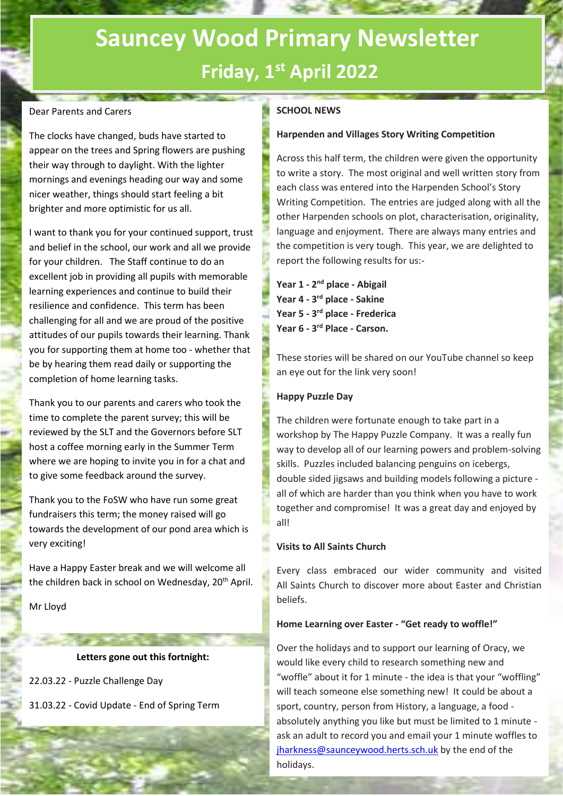# **Sauncey Wood Primary Newsletter Friday, 1 st April 2022**

## Dear Parents and Carers

The clocks have changed, buds have started to appear on the trees and Spring flowers are pushing their way through to daylight. With the lighter mornings and evenings heading our way and some nicer weather, things should start feeling a bit brighter and more optimistic for us all.

I want to thank you for your continued support, trust and belief in the school, our work and all we provide for your children. The Staff continue to do an excellent job in providing all pupils with memorable learning experiences and continue to build their resilience and confidence. This term has been challenging for all and we are proud of the positive attitudes of our pupils towards their learning. Thank you for supporting them at home too - whether that be by hearing them read daily or supporting the completion of home learning tasks.

Thank you to our parents and carers who took the time to complete the parent survey; this will be reviewed by the SLT and the Governors before SLT host a coffee morning early in the Summer Term where we are hoping to invite you in for a chat and to give some feedback around the survey.

Thank you to the FoSW who have run some great fundraisers this term; the money raised will go towards the development of our pond area which is very exciting!

Have a Happy Easter break and we will welcome all the children back in school on Wednesday, 20<sup>th</sup> April.

Mr Lloyd

# **Letters gone out this fortnight:**

22.03.22 - Puzzle Challenge Day

31.03.22 - Covid Update - End of Spring Term

# **SCHOOL NEWS**

## **Harpenden and Villages Story Writing Competition**

Across this half term, the children were given the opportunity to write a story. The most original and well written story from each class was entered into the Harpenden School's Story Writing Competition. The entries are judged along with all the other Harpenden schools on plot, characterisation, originality, language and enjoyment. There are always many entries and the competition is very tough. This year, we are delighted to report the following results for us:-

**Year 1 - 2 nd place - Abigail Year 4 - 3 rd place - Sakine Year 5 - 3 rd place - Frederica Year 6 - 3 rd Place - Carson.**

These stories will be shared on our YouTube channel so keep an eye out for the link very soon!

# **Happy Puzzle Day**

The children were fortunate enough to take part in a workshop by The Happy Puzzle Company. It was a really fun way to develop all of our learning powers and problem-solving skills. Puzzles included balancing penguins on icebergs, double sided jigsaws and building models following a picture all of which are harder than you think when you have to work together and compromise! It was a great day and enjoyed by all!

# **Visits to All Saints Church**

Every class embraced our wider community and visited All Saints Church to discover more about Easter and Christian beliefs.

#### **Home Learning over Easter - "Get ready to woffle!"**

Over the holidays and to support our learning of Oracy, we would like every child to research something new and "woffle" about it for 1 minute - the idea is that your "woffling" will teach someone else something new! It could be about a sport, country, person from History, a language, a food absolutely anything you like but must be limited to 1 minute ask an adult to record you and email your 1 minute woffles to [jharkness@saunceywood.herts.sch.uk](mailto:jharkness@saunceywood.herts.sch.uk) by the end of the holidays.